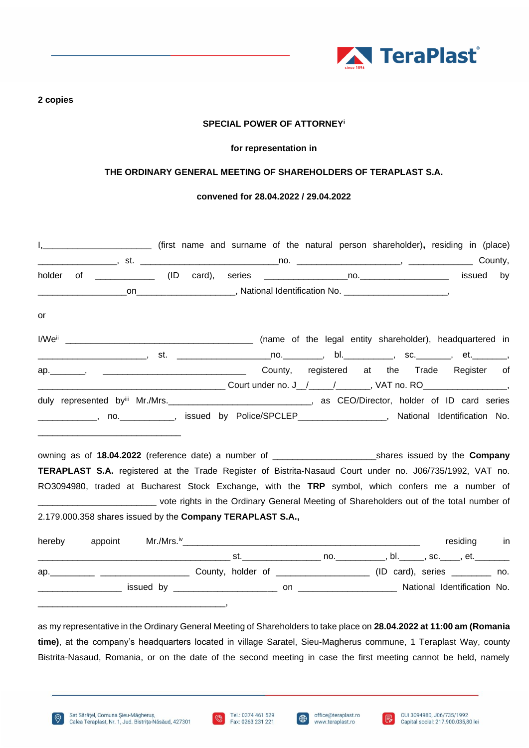

# **2 copies**

# **SPECIAL POWER OF ATTORNEY<sup>i</sup>**

### **for representation in**

# **THE ORDINARY GENERAL MEETING OF SHAREHOLDERS OF TERAPLAST S.A.**

#### **convened for 28.04.2022 / 29.04.2022**

|                                                                                                                        |  |  | I, ___________________________ (first name and surname of the natural person shareholder), residing in (place) |    |
|------------------------------------------------------------------------------------------------------------------------|--|--|----------------------------------------------------------------------------------------------------------------|----|
|                                                                                                                        |  |  |                                                                                                                |    |
| holder                                                                                                                 |  |  |                                                                                                                | by |
|                                                                                                                        |  |  |                                                                                                                |    |
|                                                                                                                        |  |  |                                                                                                                |    |
| or                                                                                                                     |  |  |                                                                                                                |    |
|                                                                                                                        |  |  |                                                                                                                |    |
| _________________________, st.  ______________________no.___________, bl.____________, sc._________, et._________,     |  |  |                                                                                                                |    |
|                                                                                                                        |  |  |                                                                                                                |    |
|                                                                                                                        |  |  |                                                                                                                |    |
| duly represented byiii Mr./Mrs. ________________________________, as CEO/Director, holder of ID card series            |  |  |                                                                                                                |    |
| _____________, no.____________, issued by Police/SPCLEP__________________, National Identification No.                 |  |  |                                                                                                                |    |
| <u> 1980 - Johann Barbara, martxa alemaniar amerikan basar da a</u>                                                    |  |  |                                                                                                                |    |
|                                                                                                                        |  |  |                                                                                                                |    |
|                                                                                                                        |  |  |                                                                                                                |    |
|                                                                                                                        |  |  |                                                                                                                |    |
| TERAPLAST S.A. registered at the Trade Register of Bistrita-Nasaud Court under no. J06/735/1992, VAT no.               |  |  |                                                                                                                |    |
| RO3094980, traded at Bucharest Stock Exchange, with the TRP symbol, which confers me a number of                       |  |  |                                                                                                                |    |
| _______________________________ vote rights in the Ordinary General Meeting of Shareholders out of the total number of |  |  |                                                                                                                |    |
| 2.179.000.358 shares issued by the Company TERAPLAST S.A.,                                                             |  |  |                                                                                                                |    |
|                                                                                                                        |  |  |                                                                                                                |    |
| hereby                                                                                                                 |  |  | residing in                                                                                                    |    |
|                                                                                                                        |  |  |                                                                                                                |    |
|                                                                                                                        |  |  |                                                                                                                |    |

as my representative in the Ordinary General Meeting of Shareholders to take place on **28.04.2022 at 11:00 am (Romania time)**, at the company's headquarters located in village Saratel, Sieu-Magherus commune, 1 Teraplast Way, county Bistrita-Nasaud, Romania, or on the date of the second meeting in case the first meeting cannot be held, namely





 $\bigoplus$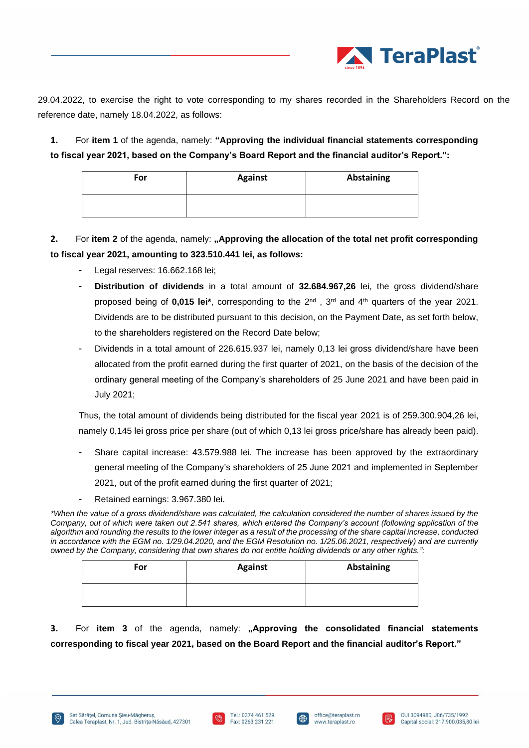

29.04.2022, to exercise the right to vote corresponding to my shares recorded in the Shareholders Record on the reference date, namely 18.04.2022, as follows:

**1.** For **item 1** of the agenda, namely: **"Approving the individual financial statements corresponding to fiscal year 2021, based on the Company's Board Report and the financial auditor's Report.":**

| For | <b>Against</b> | Abstaining |
|-----|----------------|------------|
|     |                |            |

**2.** For **item 2** of the agenda, namely: **"Approving the allocation of the total net profit corresponding to fiscal year 2021, amounting to 323.510.441 lei, as follows:**

- Legal reserves: 16.662.168 lei;
- **Distribution of dividends** in a total amount of **32.684.967,26** lei, the gross dividend/share proposed being of **0,015 lei\***, corresponding to the 2nd , 3rd and 4th quarters of the year 2021. Dividends are to be distributed pursuant to this decision, on the Payment Date, as set forth below, to the shareholders registered on the Record Date below;
- Dividends in a total amount of 226.615.937 lei, namely 0,13 lei gross dividend/share have been allocated from the profit earned during the first quarter of 2021, on the basis of the decision of the ordinary general meeting of the Company's shareholders of 25 June 2021 and have been paid in July 2021;

Thus, the total amount of dividends being distributed for the fiscal year 2021 is of 259.300.904,26 lei, namely 0,145 lei gross price per share (out of which 0,13 lei gross price/share has already been paid).

- Share capital increase: 43.579.988 lei. The increase has been approved by the extraordinary general meeting of the Company's shareholders of 25 June 2021 and implemented in September 2021, out of the profit earned during the first quarter of 2021;
- Retained earnings: 3.967.380 lei.

*\*When the value of a gross dividend/share was calculated, the calculation considered the number of shares issued by the Company, out of which were taken out 2.541 shares, which entered the Company's account (following application of the algorithm and rounding the results to the lower integer as a result of the processing of the share capital increase, conducted in accordance with the EGM no. 1/29.04.2020, and the EGM Resolution no. 1/25.06.2021, respectively) and are currently owned by the Company, considering that own shares do not entitle holding dividends or any other rights.":*

| For | <b>Against</b> | Abstaining |
|-----|----------------|------------|
|     |                |            |

**3.** For **item 3** of the agenda, namely: **"Approving the consolidated financial statements corresponding to fiscal year 2021, based on the Board Report and the financial auditor's Report."**





⊕

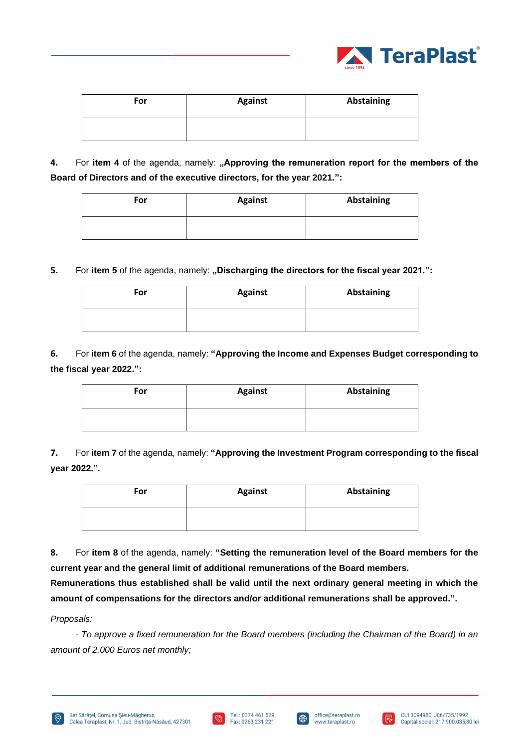

| For | <b>Against</b> | Abstaining |
|-----|----------------|------------|
|     |                |            |

**4.** For item 4 of the agenda, namely: "Approving the remuneration report for the members of the **Board of Directors and of the executive directors, for the year 2021.":**

| For | <b>Against</b> | Abstaining |
|-----|----------------|------------|
|     |                |            |

**5.** For item 5 of the agenda, namely: "Discharging the directors for the fiscal year 2021.":

| For | <b>Against</b> | Abstaining |
|-----|----------------|------------|
|     |                |            |

**6.** For **item 6** of the agenda, namely: **"Approving the Income and Expenses Budget corresponding to the fiscal year 2022.":**

| For | <b>Against</b> | Abstaining |
|-----|----------------|------------|
|     |                |            |

**7.** For **item 7** of the agenda, namely: **"Approving the Investment Program corresponding to the fiscal year 2022."***.*

| For | <b>Against</b> | Abstaining |
|-----|----------------|------------|
|     |                |            |

**8.** For **item 8** of the agenda, namely: **"Setting the remuneration level of the Board members for the current year and the general limit of additional remunerations of the Board members.**

**Remunerations thus established shall be valid until the next ordinary general meeting in which the amount of compensations for the directors and/or additional remunerations shall be approved.".**

*Proposals:* 

*- To approve a fixed remuneration for the Board members (including the Chairman of the Board) in an amount of 2.000 Euros net monthly;* 





 $\oplus$ 

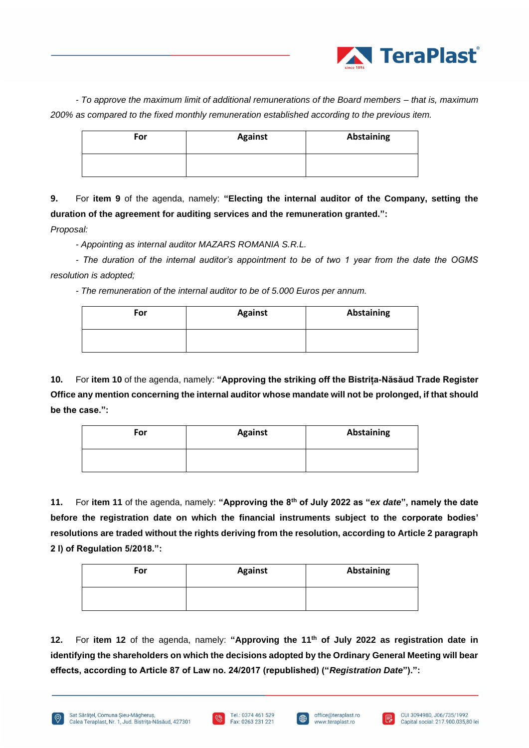

*- To approve the maximum limit of additional remunerations of the Board members – that is, maximum 200% as compared to the fixed monthly remuneration established according to the previous item.*

| For | <b>Against</b> | Abstaining |
|-----|----------------|------------|
|     |                |            |

**9.** For **item 9** of the agenda, namely: **"Electing the internal auditor of the Company, setting the duration of the agreement for auditing services and the remuneration granted.":**

*Proposal:* 

*- Appointing as internal auditor MAZARS ROMANIA S.R.L.* 

*- The duration of the internal auditor's appointment to be of two 1 year from the date the OGMS resolution is adopted;* 

*- The remuneration of the internal auditor to be of 5.000 Euros per annum.*

| For | <b>Against</b> | <b>Abstaining</b> |
|-----|----------------|-------------------|
|     |                |                   |

**10.** For **item 10** of the agenda, namely: **"Approving the striking off the Bistrița-Năsăud Trade Register Office any mention concerning the internal auditor whose mandate will not be prolonged, if that should be the case.":**

| For | <b>Against</b> | <b>Abstaining</b> |
|-----|----------------|-------------------|
|     |                |                   |

**11.** For **item 11** of the agenda, namely: **"Approving the 8th of July 2022 as "***ex date***", namely the date before the registration date on which the financial instruments subject to the corporate bodies' resolutions are traded without the rights deriving from the resolution, according to Article 2 paragraph 2 l) of Regulation 5/2018.":**

| For | <b>Against</b> | Abstaining |
|-----|----------------|------------|
|     |                |            |

**12.** For **item 12** of the agenda, namely: **"Approving the 11th of July 2022 as registration date in identifying the shareholders on which the decisions adopted by the Ordinary General Meeting will bear effects, according to Article 87 of Law no. 24/2017 (republished) ("***Registration Date***").":**





l ∰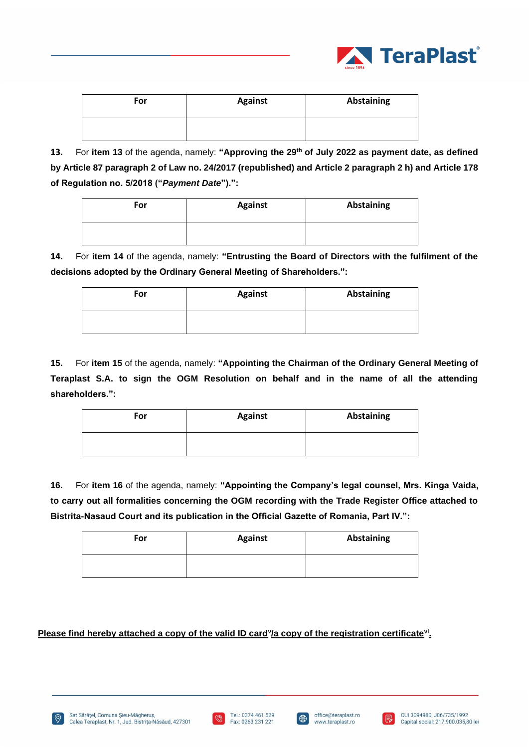

| For | <b>Against</b> | Abstaining |
|-----|----------------|------------|
|     |                |            |

**13.** For **item 13** of the agenda, namely: **"Approving the 29th of July 2022 as payment date, as defined by Article 87 paragraph 2 of Law no. 24/2017 (republished) and Article 2 paragraph 2 h) and Article 178 of Regulation no. 5/2018 ("***Payment Date***").":**

| For | <b>Against</b> | <b>Abstaining</b> |
|-----|----------------|-------------------|
|     |                |                   |

**14.** For **item 14** of the agenda, namely: **"Entrusting the Board of Directors with the fulfilment of the decisions adopted by the Ordinary General Meeting of Shareholders.":**

| For | <b>Against</b> | Abstaining |
|-----|----------------|------------|
|     |                |            |

**15.** For **item 15** of the agenda, namely: **"Appointing the Chairman of the Ordinary General Meeting of Teraplast S.A. to sign the OGM Resolution on behalf and in the name of all the attending shareholders.":**

| For | <b>Against</b> | Abstaining |
|-----|----------------|------------|
|     |                |            |

**16.** For **item 16** of the agenda, namely: **"Appointing the Company's legal counsel, Mrs. Kinga Vaida, to carry out all formalities concerning the OGM recording with the Trade Register Office attached to Bistrita-Nasaud Court and its publication in the Official Gazette of Romania, Part IV.":**

| For | <b>Against</b> | Abstaining |
|-----|----------------|------------|
|     |                |            |

Please find hereby attached a copy of the valid ID card<sup>y</sup>/a copy of the registration certificate<sup>vi</sup>.







 $\oplus$ 

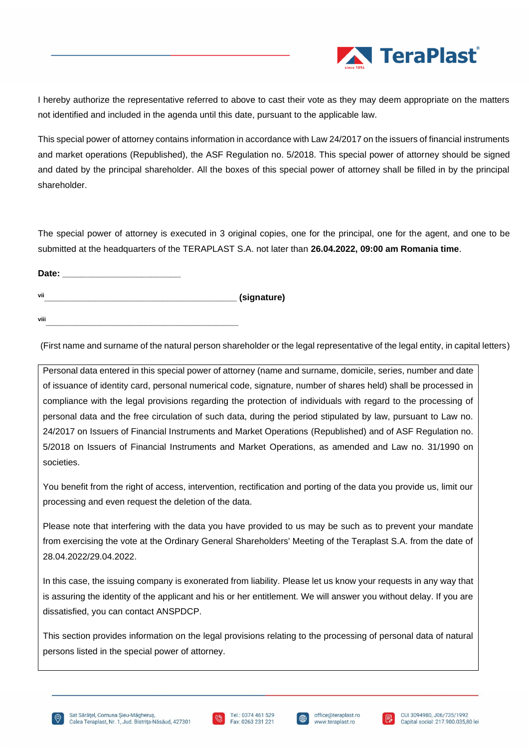

I hereby authorize the representative referred to above to cast their vote as they may deem appropriate on the matters not identified and included in the agenda until this date, pursuant to the applicable law.

This special power of attorney contains information in accordance with Law 24/2017 on the issuers of financial instruments and market operations (Republished), the ASF Regulation no. 5/2018. This special power of attorney should be signed and dated by the principal shareholder. All the boxes of this special power of attorney shall be filled in by the principal shareholder.

The special power of attorney is executed in 3 original copies, one for the principal, one for the agent, and one to be submitted at the headquarters of the TERAPLAST S.A. not later than **26.04.2022, 09:00 am Romania time**.

**Date: \_\_\_\_\_\_\_\_\_\_\_\_\_\_\_\_\_\_\_\_\_\_\_\_ vii\_\_\_\_\_\_\_\_\_\_\_\_\_\_\_\_\_\_\_\_\_\_\_\_\_\_\_\_\_\_\_\_\_\_\_\_\_\_\_ (signature)**

**viii\_\_\_\_\_\_\_\_\_\_\_\_\_\_\_\_\_\_\_\_\_\_\_\_\_\_\_\_\_\_\_\_\_\_\_\_\_\_\_**

(First name and surname of the natural person shareholder or the legal representative of the legal entity, in capital letters)

Personal data entered in this special power of attorney (name and surname, domicile, series, number and date of issuance of identity card, personal numerical code, signature, number of shares held) shall be processed in compliance with the legal provisions regarding the protection of individuals with regard to the processing of personal data and the free circulation of such data, during the period stipulated by law, pursuant to Law no. 24/2017 on Issuers of Financial Instruments and Market Operations (Republished) and of ASF Regulation no. 5/2018 on Issuers of Financial Instruments and Market Operations, as amended and Law no. 31/1990 on societies.

You benefit from the right of access, intervention, rectification and porting of the data you provide us, limit our processing and even request the deletion of the data.

Please note that interfering with the data you have provided to us may be such as to prevent your mandate from exercising the vote at the Ordinary General Shareholders' Meeting of the Teraplast S.A. from the date of 28.04.2022/29.04.2022.

In this case, the issuing company is exonerated from liability. Please let us know your requests in any way that is assuring the identity of the applicant and his or her entitlement. We will answer you without delay. If you are dissatisfied, you can contact ANSPDCP.

This section provides information on the legal provisions relating to the processing of personal data of natural persons listed in the special power of attorney.







l ∰